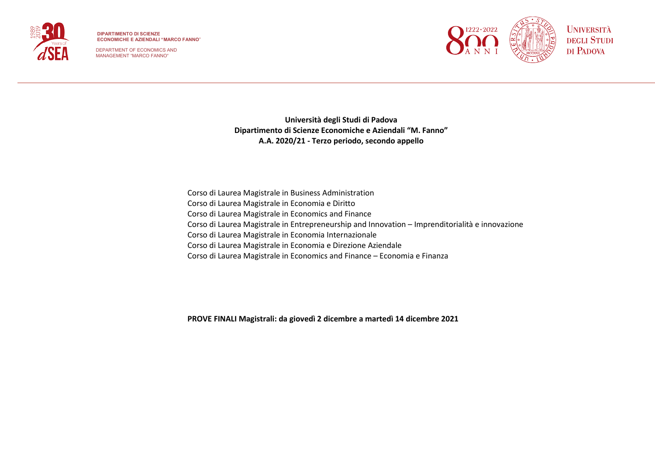

DEPARTMENT OF ECONOMICS AND MANAGEMENT "MARCO FANNO"



**Università degli Studi di Padova Dipartimento di Scienze Economiche e Aziendali "M. Fanno" A.A. 2020/21 - Terzo periodo, secondo appello**

Corso di Laurea Magistrale in Business Administration Corso di Laurea Magistrale in Economia e Diritto Corso di Laurea Magistrale in Economics and Finance Corso di Laurea Magistrale in Entrepreneurship and Innovation – Imprenditorialità e innovazione Corso di Laurea Magistrale in Economia Internazionale Corso di Laurea Magistrale in Economia e Direzione Aziendale Corso di Laurea Magistrale in Economics and Finance – Economia e Finanza

**PROVE FINALI Magistrali: da giovedì 2 dicembre a martedì 14 dicembre 2021**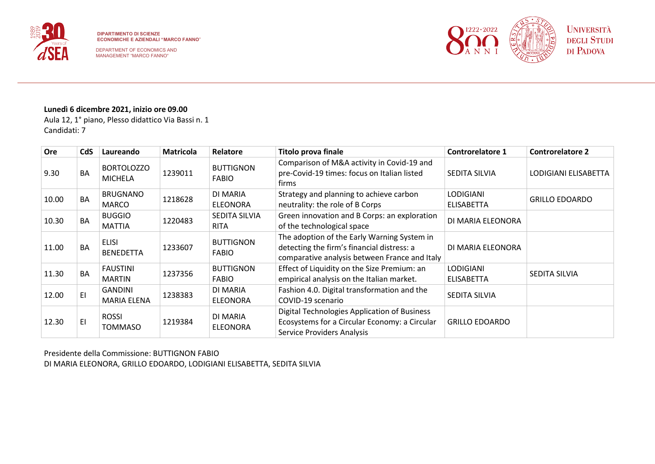



# **Lunedì 6 dicembre 2021, inizio ore 09.00**

Aula 12, 1° piano, Plesso didattico Via Bassi n. 1 Candidati: 7

| <b>Ore</b> | <b>CdS</b> | Laureando                            | <b>Matricola</b> | Relatore                         | Titolo prova finale                                                                                                                        | <b>Controrelatore 1</b>               | <b>Controrelatore 2</b> |
|------------|------------|--------------------------------------|------------------|----------------------------------|--------------------------------------------------------------------------------------------------------------------------------------------|---------------------------------------|-------------------------|
| 9.30       | <b>BA</b>  | <b>BORTOLOZZO</b><br><b>MICHELA</b>  | 1239011          | <b>BUTTIGNON</b><br><b>FABIO</b> | Comparison of M&A activity in Covid-19 and<br>pre-Covid-19 times: focus on Italian listed<br>firms                                         | SEDITA SILVIA                         | LODIGIANI ELISABETTA    |
| 10.00      | <b>BA</b>  | <b>BRUGNANO</b><br><b>MARCO</b>      | 1218628          | DI MARIA<br><b>ELEONORA</b>      | Strategy and planning to achieve carbon<br>neutrality: the role of B Corps                                                                 | <b>LODIGIANI</b><br><b>ELISABETTA</b> | <b>GRILLO EDOARDO</b>   |
| 10.30      | BA         | <b>BUGGIO</b><br><b>MATTIA</b>       | 1220483          | SEDITA SILVIA<br><b>RITA</b>     | Green innovation and B Corps: an exploration<br>of the technological space                                                                 | DI MARIA ELEONORA                     |                         |
| 11.00      | BA         | <b>ELISI</b><br><b>BENEDETTA</b>     | 1233607          | <b>BUTTIGNON</b><br><b>FABIO</b> | The adoption of the Early Warning System in<br>detecting the firm's financial distress: a<br>comparative analysis between France and Italy | DI MARIA ELEONORA                     |                         |
| 11.30      | <b>BA</b>  | <b>FAUSTINI</b><br><b>MARTIN</b>     | 1237356          | <b>BUTTIGNON</b><br><b>FABIO</b> | Effect of Liquidity on the Size Premium: an<br>empirical analysis on the Italian market.                                                   | <b>LODIGIANI</b><br><b>ELISABETTA</b> | SEDITA SILVIA           |
| 12.00      | ΕI         | <b>GANDINI</b><br><b>MARIA ELENA</b> | 1238383          | DI MARIA<br><b>ELEONORA</b>      | Fashion 4.0. Digital transformation and the<br>COVID-19 scenario                                                                           | SEDITA SILVIA                         |                         |
| 12.30      | ΕI         | <b>ROSSI</b><br><b>TOMMASO</b>       | 1219384          | DI MARIA<br><b>ELEONORA</b>      | Digital Technologies Application of Business<br>Ecosystems for a Circular Economy: a Circular<br><b>Service Providers Analysis</b>         | <b>GRILLO EDOARDO</b>                 |                         |

Presidente della Commissione: BUTTIGNON FABIO DI MARIA ELEONORA, GRILLO EDOARDO, LODIGIANI ELISABETTA, SEDITA SILVIA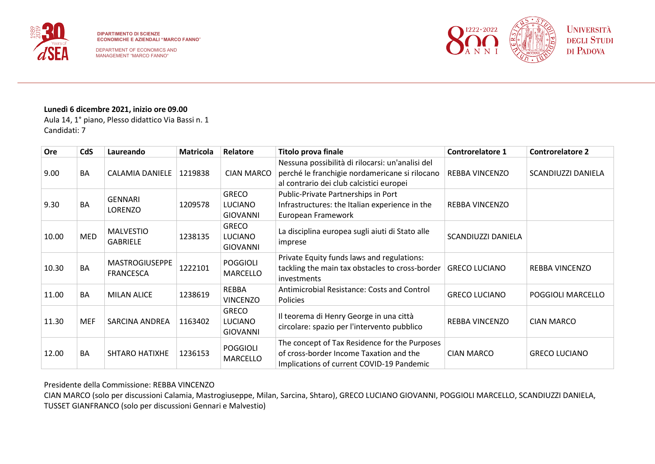



### **Lunedì 6 dicembre 2021, inizio ore 09.00**

Aula 14, 1° piano, Plesso didattico Via Bassi n. 1 Candidati: 7

| Ore   | <b>CdS</b> | Laureando                                 | <b>Matricola</b> | Relatore                                          | <b>Titolo prova finale</b>                                                                                                                     | Controrelatore 1      | <b>Controrelatore 2</b> |
|-------|------------|-------------------------------------------|------------------|---------------------------------------------------|------------------------------------------------------------------------------------------------------------------------------------------------|-----------------------|-------------------------|
| 9.00  | <b>BA</b>  | CALAMIA DANIELE                           | 1219838          | <b>CIAN MARCO</b>                                 | Nessuna possibilità di rilocarsi: un'analisi del<br>perché le franchigie nordamericane si rilocano<br>al contrario dei club calcistici europei | <b>REBBA VINCENZO</b> | SCANDIUZZI DANIELA      |
| 9.30  | <b>BA</b>  | <b>GENNARI</b><br><b>LORENZO</b>          | 1209578          | <b>GRECO</b><br>LUCIANO<br><b>GIOVANNI</b>        | Public-Private Partnerships in Port<br>Infrastructures: the Italian experience in the<br>European Framework                                    | <b>REBBA VINCENZO</b> |                         |
| 10.00 | <b>MED</b> | <b>MALVESTIO</b><br><b>GABRIELE</b>       | 1238135          | <b>GRECO</b><br><b>LUCIANO</b><br><b>GIOVANNI</b> | La disciplina europea sugli aiuti di Stato alle<br>imprese                                                                                     | SCANDIUZZI DANIELA    |                         |
| 10.30 | <b>BA</b>  | <b>MASTROGIUSEPPE</b><br><b>FRANCESCA</b> | 1222101          | <b>POGGIOLI</b><br><b>MARCELLO</b>                | Private Equity funds laws and regulations:<br>tackling the main tax obstacles to cross-border<br><i>investments</i>                            | <b>GRECO LUCIANO</b>  | <b>REBBA VINCENZO</b>   |
| 11.00 | <b>BA</b>  | <b>MILAN ALICE</b>                        | 1238619          | <b>REBBA</b><br><b>VINCENZO</b>                   | Antimicrobial Resistance: Costs and Control<br><b>Policies</b>                                                                                 | <b>GRECO LUCIANO</b>  | POGGIOLI MARCELLO       |
| 11.30 | <b>MEF</b> | SARCINA ANDREA                            | 1163402          | <b>GRECO</b><br><b>LUCIANO</b><br><b>GIOVANNI</b> | Il teorema di Henry George in una città<br>circolare: spazio per l'intervento pubblico                                                         | REBBA VINCENZO        | <b>CIAN MARCO</b>       |
| 12.00 | <b>BA</b>  | <b>SHTARO HATIXHE</b>                     | 1236153          | <b>POGGIOLI</b><br><b>MARCELLO</b>                | The concept of Tax Residence for the Purposes<br>of cross-border Income Taxation and the<br>Implications of current COVID-19 Pandemic          | <b>CIAN MARCO</b>     | <b>GRECO LUCIANO</b>    |

Presidente della Commissione: REBBA VINCENZO

CIAN MARCO (solo per discussioni Calamia, Mastrogiuseppe, Milan, Sarcina, Shtaro), GRECO LUCIANO GIOVANNI, POGGIOLI MARCELLO, SCANDIUZZI DANIELA, TUSSET GIANFRANCO (solo per discussioni Gennari e Malvestio)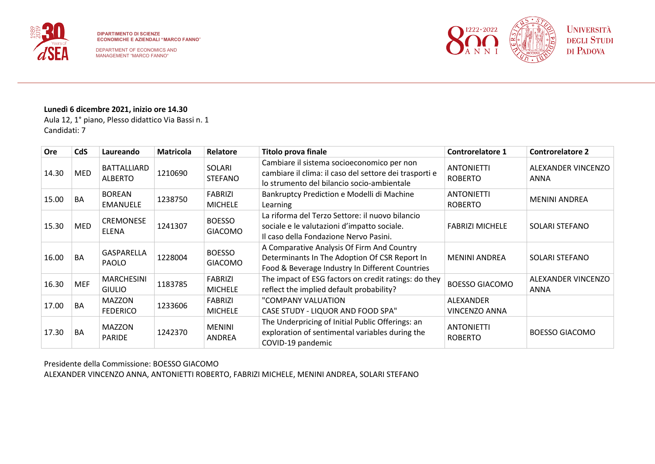

DEPARTMENT OF ECONOMICS AND MANAGEMENT "MARCO FANNO"



#### **Lunedì 6 dicembre 2021, inizio ore 14.30**

Aula 12, 1° piano, Plesso didattico Via Bassi n. 1 Candidati: 7

| <b>Ore</b> | <b>CdS</b> | Laureando                          | <b>Matricola</b> | Relatore                         | Titolo prova finale                                                                                                                                | <b>Controrelatore 1</b>             | <b>Controrelatore 2</b>    |
|------------|------------|------------------------------------|------------------|----------------------------------|----------------------------------------------------------------------------------------------------------------------------------------------------|-------------------------------------|----------------------------|
| 14.30      | MED        | BATTALLIARD<br><b>ALBERTO</b>      | 1210690          | SOLARI<br><b>STEFANO</b>         | Cambiare il sistema socioeconomico per non<br>cambiare il clima: il caso del settore dei trasporti e<br>lo strumento del bilancio socio-ambientale | <b>ANTONIETTI</b><br><b>ROBERTO</b> | ALEXANDER VINCENZO<br>ANNA |
| 15.00      | <b>BA</b>  | <b>BOREAN</b><br><b>EMANUELE</b>   | 1238750          | <b>FABRIZI</b><br><b>MICHELE</b> | Bankruptcy Prediction e Modelli di Machine<br>Learning                                                                                             | <b>ANTONIETTI</b><br><b>ROBERTO</b> | <b>MENINI ANDREA</b>       |
| 15.30      | <b>MED</b> | <b>CREMONESE</b><br><b>ELENA</b>   | 1241307          | <b>BOESSO</b><br><b>GIACOMO</b>  | La riforma del Terzo Settore: il nuovo bilancio<br>sociale e le valutazioni d'impatto sociale.<br>Il caso della Fondazione Nervo Pasini.           | <b>FABRIZI MICHELE</b>              | SOLARI STEFANO             |
| 16.00      | <b>BA</b>  | <b>GASPARELLA</b><br><b>PAOLO</b>  | 1228004          | <b>BOESSO</b><br><b>GIACOMO</b>  | A Comparative Analysis Of Firm And Country<br>Determinants In The Adoption Of CSR Report In<br>Food & Beverage Industry In Different Countries     | <b>MENINI ANDREA</b>                | SOLARI STEFANO             |
| 16.30      | <b>MEF</b> | <b>MARCHESINI</b><br><b>GIULIO</b> | 1183785          | <b>FABRIZI</b><br><b>MICHELE</b> | The impact of ESG factors on credit ratings: do they<br>reflect the implied default probability?                                                   | <b>BOESSO GIACOMO</b>               | ALEXANDER VINCENZO<br>ANNA |
| 17.00      | BA         | <b>MAZZON</b><br><b>FEDERICO</b>   | 1233606          | <b>FABRIZI</b><br><b>MICHELE</b> | "COMPANY VALUATION<br><b>CASE STUDY - LIQUOR AND FOOD SPA"</b>                                                                                     | ALEXANDER<br>VINCENZO ANNA          |                            |
| 17.30      | BA         | <b>MAZZON</b><br><b>PARIDE</b>     | 1242370          | <b>MENINI</b><br><b>ANDREA</b>   | The Underpricing of Initial Public Offerings: an<br>exploration of sentimental variables during the<br>COVID-19 pandemic                           | <b>ANTONIETTI</b><br><b>ROBERTO</b> | <b>BOESSO GIACOMO</b>      |

Presidente della Commissione: BOESSO GIACOMO ALEXANDER VINCENZO ANNA, ANTONIETTI ROBERTO, FABRIZI MICHELE, MENINI ANDREA, SOLARI STEFANO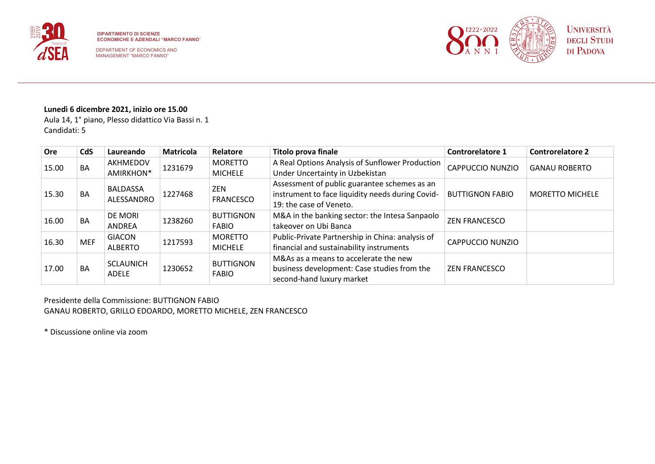



# **Lunedì 6 dicembre 2021, inizio ore 15.00**

Aula 14, 1° piano, Plesso didattico Via Bassi n. 1 Candidati: 5

| Ore   | <b>CdS</b> | Laureando                        | <b>Matricola</b> | Relatore                  | <b>Titolo prova finale</b>                       | <b>Controrelatore 1</b> | <b>Controrelatore 2</b> |
|-------|------------|----------------------------------|------------------|---------------------------|--------------------------------------------------|-------------------------|-------------------------|
| 15.00 | <b>BA</b>  | AKHMEDOV                         | 1231679          | <b>MORETTO</b>            | A Real Options Analysis of Sunflower Production  | CAPPUCCIO NUNZIO        | <b>GANAU ROBERTO</b>    |
|       |            | AMIRKHON*                        |                  | <b>MICHELE</b>            | Under Uncertainty in Uzbekistan                  |                         |                         |
|       |            | <b>BALDASSA</b>                  |                  | ZEN                       | Assessment of public guarantee schemes as an     |                         | <b>MORETTO MICHELE</b>  |
| 15.30 | <b>BA</b>  | 1227468<br>ALESSANDRO            |                  | <b>FRANCESCO</b>          | instrument to face liquidity needs during Covid- | <b>BUTTIGNON FABIO</b>  |                         |
|       |            |                                  |                  |                           | 19: the case of Veneto.                          |                         |                         |
| 16.00 | <b>BA</b>  | <b>DE MORI</b>                   | 1238260          | <b>BUTTIGNON</b>          | M&A in the banking sector: the Intesa Sanpaolo   | <b>ZEN FRANCESCO</b>    |                         |
|       |            | <b>ANDREA</b>                    |                  | FABIO                     | takeover on Ubi Banca                            |                         |                         |
| 16.30 | <b>MEF</b> | <b>GIACON</b>                    | 1217593          | <b>MORETTO</b>            | Public-Private Partnership in China: analysis of | CAPPUCCIO NUNZIO        |                         |
|       |            | <b>ALBERTO</b>                   |                  | <b>MICHELE</b>            | financial and sustainability instruments         |                         |                         |
|       |            | <b>SCLAUNICH</b><br><b>ADELE</b> | 1230652          | <b>BUTTIGNON</b><br>FABIO | M&As as a means to accelerate the new            |                         |                         |
| 17.00 | <b>BA</b>  |                                  |                  |                           | business development: Case studies from the      | <b>ZEN FRANCESCO</b>    |                         |
|       |            |                                  |                  |                           | second-hand luxury market                        |                         |                         |

Presidente della Commissione: BUTTIGNON FABIO GANAU ROBERTO, GRILLO EDOARDO, MORETTO MICHELE, ZEN FRANCESCO

\* Discussione online via zoom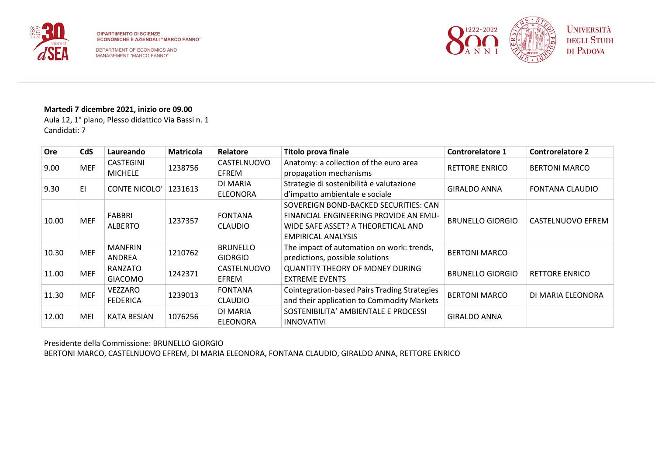



# **Martedì 7 dicembre 2021, inizio ore 09.00**

Aula 12, 1° piano, Plesso didattico Via Bassi n. 1 Candidati: 7

| <b>Ore</b> | CdS        | Laureando                          | <b>Matricola</b> | Relatore                          | <b>Titolo prova finale</b>                                                                                                                        | <b>Controrelatore 1</b> | <b>Controrelatore 2</b> |
|------------|------------|------------------------------------|------------------|-----------------------------------|---------------------------------------------------------------------------------------------------------------------------------------------------|-------------------------|-------------------------|
| 9.00       | <b>MEF</b> | <b>CASTEGINI</b><br><b>MICHELE</b> | 1238756          | CASTELNUOVO<br><b>EFREM</b>       | Anatomy: a collection of the euro area<br>propagation mechanisms                                                                                  | <b>RETTORE ENRICO</b>   | <b>BERTONI MARCO</b>    |
| 9.30       | EI         | <b>CONTE NICOLO'</b>               | 1231613          | DI MARIA<br><b>ELEONORA</b>       | Strategie di sostenibilità e valutazione<br>d'impatto ambientale e sociale                                                                        | <b>GIRALDO ANNA</b>     | <b>FONTANA CLAUDIO</b>  |
| 10.00      | <b>MEF</b> | FABBRI<br><b>ALBERTO</b>           | 1237357          | <b>FONTANA</b><br><b>CLAUDIO</b>  | SOVEREIGN BOND-BACKED SECURITIES: CAN<br>FINANCIAL ENGINEERING PROVIDE AN EMU-<br>WIDE SAFE ASSET? A THEORETICAL AND<br><b>EMPIRICAL ANALYSIS</b> | <b>BRUNELLO GIORGIO</b> | CASTELNUOVO EFREM       |
| 10.30      | <b>MEF</b> | <b>MANFRIN</b><br>ANDREA           | 1210762          | <b>BRUNELLO</b><br><b>GIORGIO</b> | The impact of automation on work: trends,<br>predictions, possible solutions                                                                      | <b>BERTONI MARCO</b>    |                         |
| 11.00      | <b>MEF</b> | RANZATO<br><b>GIACOMO</b>          | 1242371          | CASTELNUOVO<br><b>EFREM</b>       | <b>QUANTITY THEORY OF MONEY DURING</b><br><b>EXTREME EVENTS</b>                                                                                   | <b>BRUNELLO GIORGIO</b> | <b>RETTORE ENRICO</b>   |
| 11.30      | <b>MEF</b> | VEZZARO<br><b>FEDERICA</b>         | 1239013          | <b>FONTANA</b><br><b>CLAUDIO</b>  | <b>Cointegration-based Pairs Trading Strategies</b><br>and their application to Commodity Markets                                                 | <b>BERTONI MARCO</b>    | DI MARIA ELEONORA       |
| 12.00      | MEI        | <b>KATA BESIAN</b>                 | 1076256          | DI MARIA<br><b>ELEONORA</b>       | SOSTENIBILITA' AMBIENTALE E PROCESSI<br><b>INNOVATIVI</b>                                                                                         | <b>GIRALDO ANNA</b>     |                         |

Presidente della Commissione: BRUNELLO GIORGIO BERTONI MARCO, CASTELNUOVO EFREM, DI MARIA ELEONORA, FONTANA CLAUDIO, GIRALDO ANNA, RETTORE ENRICO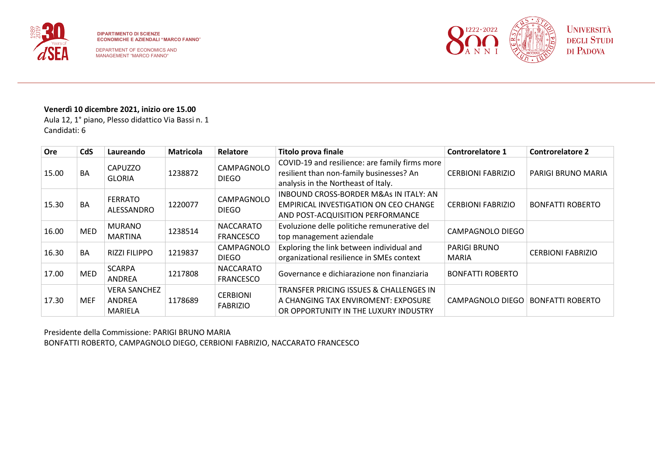

DEPARTMENT OF ECONOMICS AND MANAGEMENT "MARCO FANNO"



# **Venerdì 10 dicembre 2021, inizio ore 15.00**

Aula 12, 1° piano, Plesso didattico Via Bassi n. 1 Candidati: 6

| <b>Ore</b> | <b>CdS</b> | Laureando                                       | <b>Matricola</b> | Relatore                             | <b>Titolo prova finale</b>                                                                                                        | <b>Controrelatore 1</b>             | <b>Controrelatore 2</b>  |
|------------|------------|-------------------------------------------------|------------------|--------------------------------------|-----------------------------------------------------------------------------------------------------------------------------------|-------------------------------------|--------------------------|
| 15.00      | <b>BA</b>  | <b>CAPUZZO</b><br><b>GLORIA</b>                 | 1238872          | CAMPAGNOLO<br><b>DIEGO</b>           | COVID-19 and resilience: are family firms more<br>resilient than non-family businesses? An<br>analysis in the Northeast of Italy. | <b>CERBIONI FABRIZIO</b>            | PARIGI BRUNO MARIA       |
| 15.30      | <b>BA</b>  | <b>FERRATO</b><br>ALESSANDRO                    | 1220077          | CAMPAGNOLO<br><b>DIEGO</b>           | <b>INBOUND CROSS-BORDER M&amp;As IN ITALY: AN</b><br>EMPIRICAL INVESTIGATION ON CEO CHANGE<br>AND POST-ACQUISITION PERFORMANCE    | <b>CERBIONI FABRIZIO</b>            | <b>BONFATTI ROBERTO</b>  |
| 16.00      | <b>MED</b> | <b>MURANO</b><br><b>MARTINA</b>                 | 1238514          | <b>NACCARATO</b><br><b>FRANCESCO</b> | Evoluzione delle politiche remunerative del<br>top management aziendale                                                           | CAMPAGNOLO DIEGO                    |                          |
| 16.30      | <b>BA</b>  | <b>RIZZI FILIPPO</b>                            | 1219837          | CAMPAGNOLO<br><b>DIEGO</b>           | Exploring the link between individual and<br>organizational resilience in SMEs context                                            | <b>PARIGI BRUNO</b><br><b>MARIA</b> | <b>CERBIONI FABRIZIO</b> |
| 17.00      | <b>MED</b> | <b>SCARPA</b><br>ANDREA                         | 1217808          | <b>NACCARATO</b><br><b>FRANCESCO</b> | Governance e dichiarazione non finanziaria                                                                                        | <b>BONFATTI ROBERTO</b>             |                          |
| 17.30      | <b>MEF</b> | <b>VERA SANCHEZ</b><br>ANDREA<br><b>MARIELA</b> | 1178689          | <b>CERBIONI</b><br><b>FABRIZIO</b>   | TRANSFER PRICING ISSUES & CHALLENGES IN<br>A CHANGING TAX ENVIROMENT: EXPOSURE<br>OR OPPORTUNITY IN THE LUXURY INDUSTRY           | CAMPAGNOLO DIEGO                    | <b>BONFATTI ROBERTO</b>  |

Presidente della Commissione: PARIGI BRUNO MARIA BONFATTI ROBERTO, CAMPAGNOLO DIEGO, CERBIONI FABRIZIO, NACCARATO FRANCESCO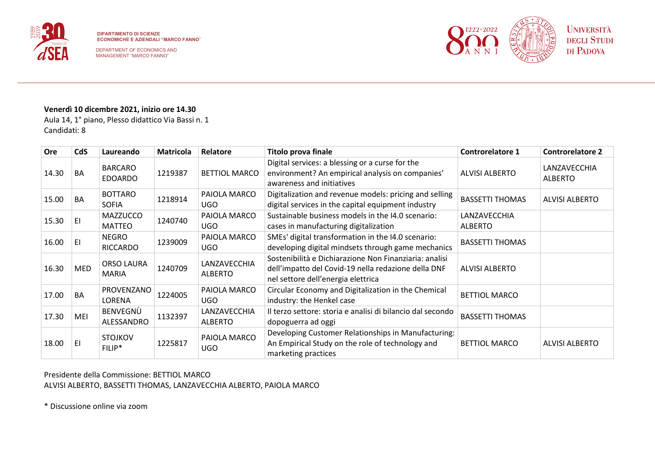



# **Venerdì 10 dicembre 2021, inizio ore 14.30**

Aula 14, 1° piano, Plesso didattico Via Bassi n. 1 Candidati: 8

| <b>Ore</b> | <b>CdS</b> | Laureando                         | <b>Matricola</b> | Relatore                       | <b>Titolo prova finale</b>                                                                                                                          | <b>Controrelatore 1</b>        | <b>Controrelatore 2</b>        |
|------------|------------|-----------------------------------|------------------|--------------------------------|-----------------------------------------------------------------------------------------------------------------------------------------------------|--------------------------------|--------------------------------|
| 14.30      | BA         | <b>BARCARO</b><br><b>EDOARDO</b>  | 1219387          | <b>BETTIOL MARCO</b>           | Digital services: a blessing or a curse for the<br>environment? An empirical analysis on companies'<br>awareness and initiatives                    | <b>ALVISI ALBERTO</b>          | LANZAVECCHIA<br><b>ALBERTO</b> |
| 15.00      | BA         | <b>BOTTARO</b><br><b>SOFIA</b>    | 1218914          | PAIOLA MARCO<br>UGO.           | Digitalization and revenue models: pricing and selling<br>digital services in the capital equipment industry                                        | <b>BASSETTI THOMAS</b>         | <b>ALVISI ALBERTO</b>          |
| 15.30      | EI         | <b>MAZZUCCO</b><br><b>MATTEO</b>  | 1240740          | PAIOLA MARCO<br><b>UGO</b>     | Sustainable business models in the I4.0 scenario:<br>cases in manufacturing digitalization                                                          | LANZAVECCHIA<br><b>ALBERTO</b> |                                |
| 16.00      | EI         | <b>NEGRO</b><br>RICCARDO          | 1239009          | PAIOLA MARCO<br>UGO            | SMEs' digital transformation in the I4.0 scenario:<br>developing digital mindsets through game mechanics                                            | <b>BASSETTI THOMAS</b>         |                                |
| 16.30      | <b>MED</b> | <b>ORSO LAURA</b><br><b>MARIA</b> | 1240709          | LANZAVECCHIA<br><b>ALBERTO</b> | Sostenibilità e Dichiarazione Non Finanziaria: analisi<br>dell'impatto del Covid-19 nella redazione della DNF<br>nel settore dell'energia elettrica | <b>ALVISI ALBERTO</b>          |                                |
| 17.00      | BA         | <b>PROVENZANO</b><br>LORENA       | 1224005          | PAIOLA MARCO<br>UGO.           | Circular Economy and Digitalization in the Chemical<br>industry: the Henkel case                                                                    | <b>BETTIOL MARCO</b>           |                                |
| 17.30      | MEI        | BENVEGNÙ<br>ALESSANDRO            | 1132397          | LANZAVECCHIA<br><b>ALBERTO</b> | Il terzo settore: storia e analisi di bilancio dal secondo<br>dopoguerra ad oggi                                                                    | <b>BASSETTI THOMAS</b>         |                                |
| 18.00      | EI         | <b>STOJKOV</b><br>FILIP*          | 1225817          | PAIOLA MARCO<br><b>UGO</b>     | Developing Customer Relationships in Manufacturing:<br>An Empirical Study on the role of technology and<br>marketing practices                      | <b>BETTIOL MARCO</b>           | <b>ALVISI ALBERTO</b>          |

# Presidente della Commissione: BETTIOL MARCO ALVISI ALBERTO, BASSETTI THOMAS, LANZAVECCHIA ALBERTO, PAIOLA MARCO

\* Discussione online via zoom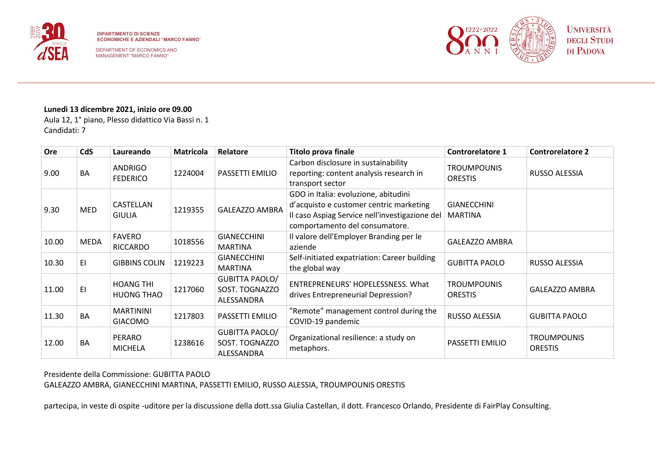



# **Lunedì 13 dicembre 2021, inizio ore 09.00**

Aula 12, 1° piano, Plesso didattico Via Bassi n. 1 Candidati: 7

| <b>Ore</b> | <b>CdS</b>  | Laureando                             | <b>Matricola</b> | Relatore                                              | <b>Titolo prova finale</b>                                                                                                                                          | <b>Controrelatore 1</b>              | <b>Controrelatore 2</b>              |
|------------|-------------|---------------------------------------|------------------|-------------------------------------------------------|---------------------------------------------------------------------------------------------------------------------------------------------------------------------|--------------------------------------|--------------------------------------|
| 9.00       | <b>BA</b>   | <b>ANDRIGO</b><br><b>FEDERICO</b>     | 1224004          | PASSETTI EMILIO                                       | Carbon disclosure in sustainability<br>reporting: content analysis research in<br>transport sector                                                                  | <b>TROUMPOUNIS</b><br><b>ORESTIS</b> | RUSSO ALESSIA                        |
| 9.30       | <b>MED</b>  | CASTELLAN<br><b>GIULIA</b>            | 1219355          | <b>GALEAZZO AMBRA</b>                                 | GDO in Italia: evoluzione, abitudini<br>d'acquisto e customer centric marketing<br>Il caso Aspiag Service nell'investigazione del<br>comportamento del consumatore. | <b>GIANECCHINI</b><br><b>MARTINA</b> |                                      |
| 10.00      | <b>MEDA</b> | <b>FAVERO</b><br><b>RICCARDO</b>      | 1018556          | <b>GIANECCHINI</b><br><b>MARTINA</b>                  | Il valore dell'Employer Branding per le<br>aziende                                                                                                                  | <b>GALEAZZO AMBRA</b>                |                                      |
| 10.30      | EI          | <b>GIBBINS COLIN</b>                  | 1219223          | <b>GIANECCHINI</b><br><b>MARTINA</b>                  | Self-initiated expatriation: Career building<br>the global way                                                                                                      | <b>GUBITTA PAOLO</b>                 | RUSSO ALESSIA                        |
| 11.00      | EI          | <b>HOANG THI</b><br><b>HUONG THAO</b> | 1217060          | <b>GUBITTA PAOLO/</b><br>SOST. TOGNAZZO<br>ALESSANDRA | ENTREPRENEURS' HOPELESSNESS. What<br>drives Entrepreneurial Depression?                                                                                             | <b>TROUMPOUNIS</b><br><b>ORESTIS</b> | <b>GALEAZZO AMBRA</b>                |
| 11.30      | BA          | <b>MARTININI</b><br><b>GIACOMO</b>    | 1217803          | PASSETTI EMILIO                                       | "Remote" management control during the<br>COVID-19 pandemic                                                                                                         | RUSSO ALESSIA                        | <b>GUBITTA PAOLO</b>                 |
| 12.00      | <b>BA</b>   | <b>PERARO</b><br><b>MICHELA</b>       | 1238616          | <b>GUBITTA PAOLO/</b><br>SOST. TOGNAZZO<br>ALESSANDRA | Organizational resilience: a study on<br>metaphors.                                                                                                                 | PASSETTI EMILIO                      | <b>TROUMPOUNIS</b><br><b>ORESTIS</b> |

# Presidente della Commissione: GUBITTA PAOLO

GALEAZZO AMBRA, GIANECCHINI MARTINA, PASSETTI EMILIO, RUSSO ALESSIA, TROUMPOUNIS ORESTIS

partecipa, in veste di ospite -uditore per la discussione della dott.ssa Giulia Castellan, il dott. Francesco Orlando, Presidente di FairPlay Consulting.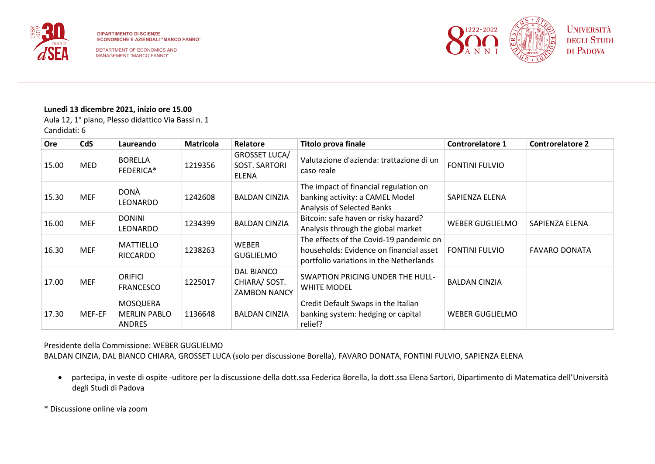



#### **Lunedì 13 dicembre 2021, inizio ore 15.00**

Aula 12, 1° piano, Plesso didattico Via Bassi n. 1 Candidati: 6

| Ore   | <b>CdS</b> | Laureando                                        | <b>Matricola</b> | Relatore                                                     | <b>Titolo prova finale</b>                                                                                                    | <b>Controrelatore 1</b> | <b>Controrelatore 2</b> |
|-------|------------|--------------------------------------------------|------------------|--------------------------------------------------------------|-------------------------------------------------------------------------------------------------------------------------------|-------------------------|-------------------------|
| 15.00 | <b>MED</b> | <b>BORELLA</b><br>FEDERICA*                      | 1219356          | <b>GROSSET LUCA/</b><br><b>SOST. SARTORI</b><br><b>ELENA</b> | Valutazione d'azienda: trattazione di un<br>caso reale                                                                        | <b>FONTINI FULVIO</b>   |                         |
| 15.30 | <b>MEF</b> | <b>DONÀ</b><br>LEONARDO                          | 1242608          | <b>BALDAN CINZIA</b>                                         | The impact of financial regulation on<br>banking activity: a CAMEL Model<br>Analysis of Selected Banks                        | SAPIENZA ELENA          |                         |
| 16.00 | <b>MEF</b> | <b>DONINI</b><br>LEONARDO                        | 1234399          | <b>BALDAN CINZIA</b>                                         | Bitcoin: safe haven or risky hazard?<br>Analysis through the global market                                                    | WEBER GUGLIELMO         | SAPIENZA ELENA          |
| 16.30 | <b>MEF</b> | <b>MATTIELLO</b><br><b>RICCARDO</b>              | 1238263          | <b>WEBER</b><br><b>GUGLIELMO</b>                             | The effects of the Covid-19 pandemic on<br>households: Evidence on financial asset<br>portfolio variations in the Netherlands | <b>FONTINI FULVIO</b>   | <b>FAVARO DONATA</b>    |
| 17.00 | <b>MEF</b> | <b>ORIFICI</b><br><b>FRANCESCO</b>               | 1225017          | DAL BIANCO<br>CHIARA/ SOST.<br><b>ZAMBON NANCY</b>           | SWAPTION PRICING UNDER THE HULL-<br><b>WHITE MODEL</b>                                                                        | <b>BALDAN CINZIA</b>    |                         |
| 17.30 | MEF-EF     | MOSQUERA<br><b>MERLIN PABLO</b><br><b>ANDRES</b> | 1136648          | <b>BALDAN CINZIA</b>                                         | Credit Default Swaps in the Italian<br>banking system: hedging or capital<br>relief?                                          | WEBER GUGLIELMO         |                         |

Presidente della Commissione: WEBER GUGLIELMO

BALDAN CINZIA, DAL BIANCO CHIARA, GROSSET LUCA (solo per discussione Borella), FAVARO DONATA, FONTINI FULVIO, SAPIENZA ELENA

• partecipa, in veste di ospite -uditore per la discussione della dott.ssa Federica Borella, la dott.ssa Elena Sartori, Dipartimento di Matematica dell'Università degli Studi di Padova

\* Discussione online via zoom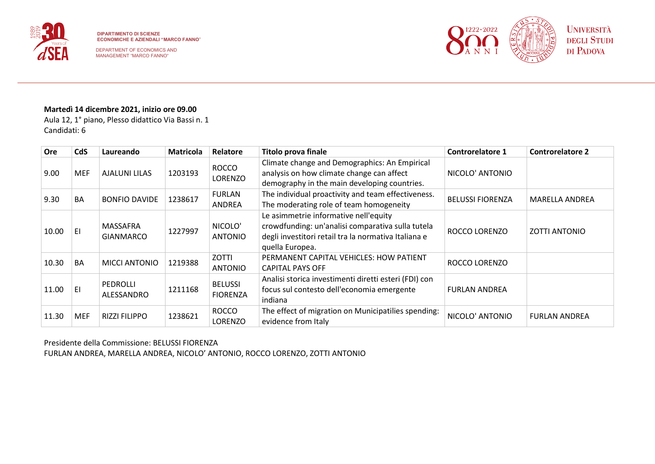

DEPARTMENT OF ECONOMICS AND MANAGEMENT "MARCO FANNO"



# **Martedì 14 dicembre 2021, inizio ore 09.00**

Aula 12, 1° piano, Plesso didattico Via Bassi n. 1 Candidati: 6

| <b>Ore</b> | <b>CdS</b> | Laureando                     | <b>Matricola</b> | <b>Relatore</b>                   | <b>Titolo prova finale</b>                                                                                                                                            | <b>Controrelatore 1</b> | <b>Controrelatore 2</b> |
|------------|------------|-------------------------------|------------------|-----------------------------------|-----------------------------------------------------------------------------------------------------------------------------------------------------------------------|-------------------------|-------------------------|
| 9.00       | MEF        | <b>AJALUNI LILAS</b>          | 1203193          | <b>ROCCO</b><br>LORENZO           | Climate change and Demographics: An Empirical<br>analysis on how climate change can affect<br>demography in the main developing countries.                            | NICOLO' ANTONIO         |                         |
| 9.30       | BA         | <b>BONFIO DAVIDE</b>          | 1238617          | <b>FURLAN</b><br>ANDREA           | The individual proactivity and team effectiveness.<br>The moderating role of team homogeneity                                                                         | <b>BELUSSI FIORENZA</b> | <b>MARELLA ANDREA</b>   |
| 10.00      | ΕI         | MASSAFRA<br><b>GIANMARCO</b>  | 1227997          | NICOLO'<br><b>ANTONIO</b>         | Le asimmetrie informative nell'equity<br>crowdfunding: un'analisi comparativa sulla tutela<br>degli investitori retail tra la normativa Italiana e<br>quella Europea. | ROCCO LORENZO           | ZOTTI ANTONIO           |
| 10.30      | <b>BA</b>  | <b>MICCI ANTONIO</b>          | 1219388          | ZOTTI<br><b>ANTONIO</b>           | PERMANENT CAPITAL VEHICLES: HOW PATIENT<br><b>CAPITAL PAYS OFF</b>                                                                                                    | ROCCO LORENZO           |                         |
| 11.00      | EI         | <b>PEDROLLI</b><br>ALESSANDRO | 1211168          | <b>BELUSSI</b><br><b>FIORENZA</b> | Analisi storica investimenti diretti esteri (FDI) con<br>focus sul contesto dell'economia emergente<br>indiana                                                        | <b>FURLAN ANDREA</b>    |                         |
| 11.30      | <b>MEF</b> | <b>RIZZI FILIPPO</b>          | 1238621          | <b>ROCCO</b><br>LORENZO           | The effect of migration on Municipatilies spending:<br>evidence from Italy                                                                                            | NICOLO' ANTONIO         | <b>FURLAN ANDREA</b>    |

Presidente della Commissione: BELUSSI FIORENZA FURLAN ANDREA, MARELLA ANDREA, NICOLO' ANTONIO, ROCCO LORENZO, ZOTTI ANTONIO